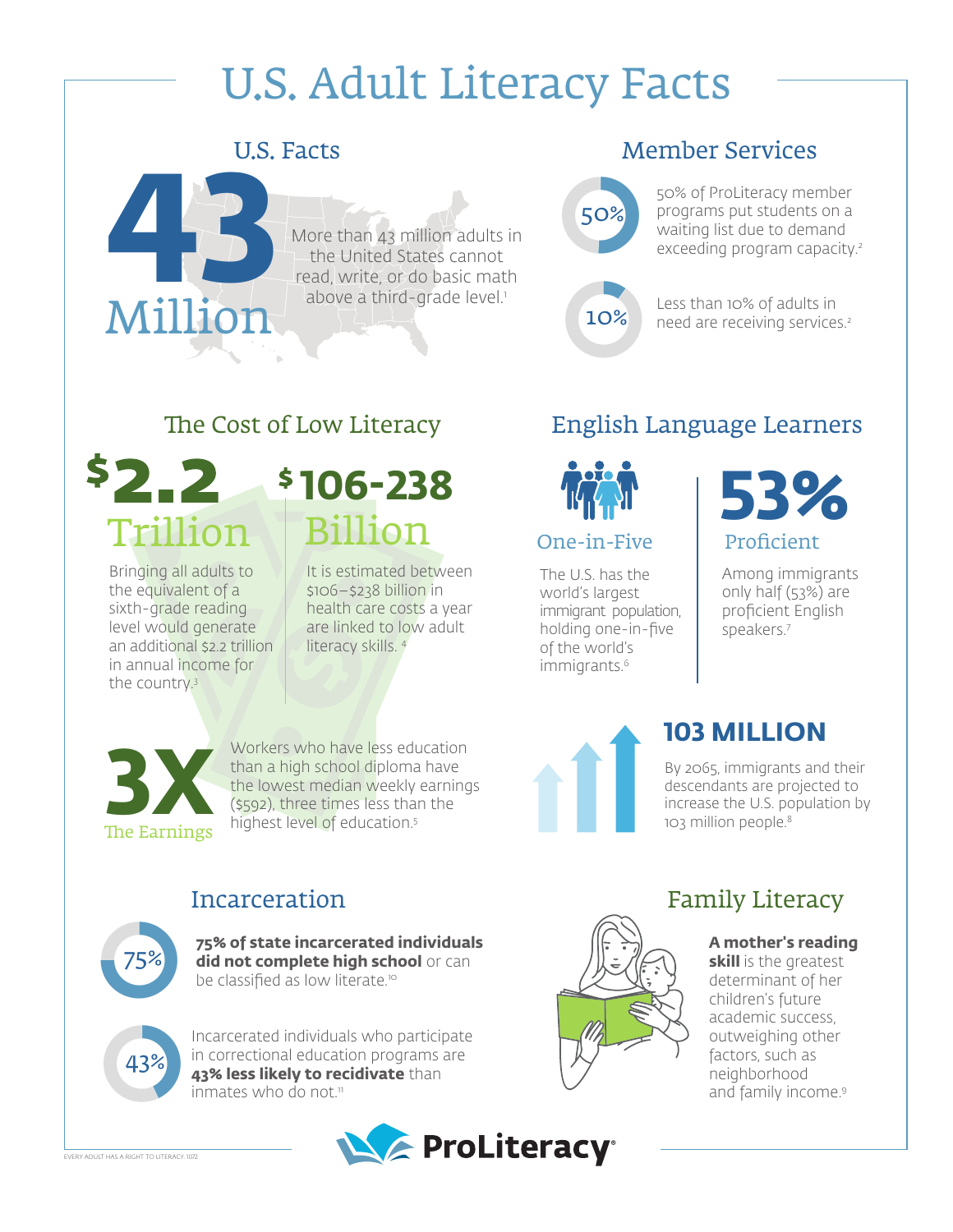# U.S. Adult Literacy Facts

## U.S. Facts



#### More than 43 million adults in the United States cannot read, write, or do basic math above a third-grade level.<sup>1</sup>

## Member Services

50% 50%

50% of ProLiteracy member programs put students on a waiting list due to demand exceeding program capacity.<sup>2</sup>

10% 10%

#### Less than 10% of adults in need are receiving services.2

## The Cost of Low Literacy



Bringing all adults to the equivalent of a sixth-grade reading level would generate an additional \$2.2 trillion in annual income for the country.3

# Billion **106-238**

It is estimated between \$106–\$238 billion in health care costs a year are linked to low adult literacy skills. 4

# English Language Learners



#### One-in-Five

The U.S. has the world's largest immigrant population, holding one-in-five of the world's immigrants.<sup>6</sup>



Among immigrants only half (53%) are proficient English speakers.7

# **103 MILLION**

descendants are projected to increase the U.S. population by 103 million people.<sup>8</sup>

# **The Earnings**

Workers who have less education than a high school diploma have the lowest median weekly earnings (\$592), three times less than the highest level of education.5 Workers who have less education<br>than a high school diploma have<br>the lowest median weekly earnings<br>(\$592), three times less than the<br>highest level of education.<sup>5</sup> and their<br>times increase the U.S. population by<br>the Earning

# Incarceration



**75% of state incarcerated individuals did not complete high school** or can be classified as low literate.<sup>10</sup>



Incarcerated individuals who participate in correctional education programs are **43% less likely to recidivate** than inmates who do not.<sup>11</sup>



# Family Literacy

#### **A mother's reading**

**skill** is the greatest determinant of her children's future academic success, outweighing other factors, such as neighborhood and family income.<sup>9</sup>